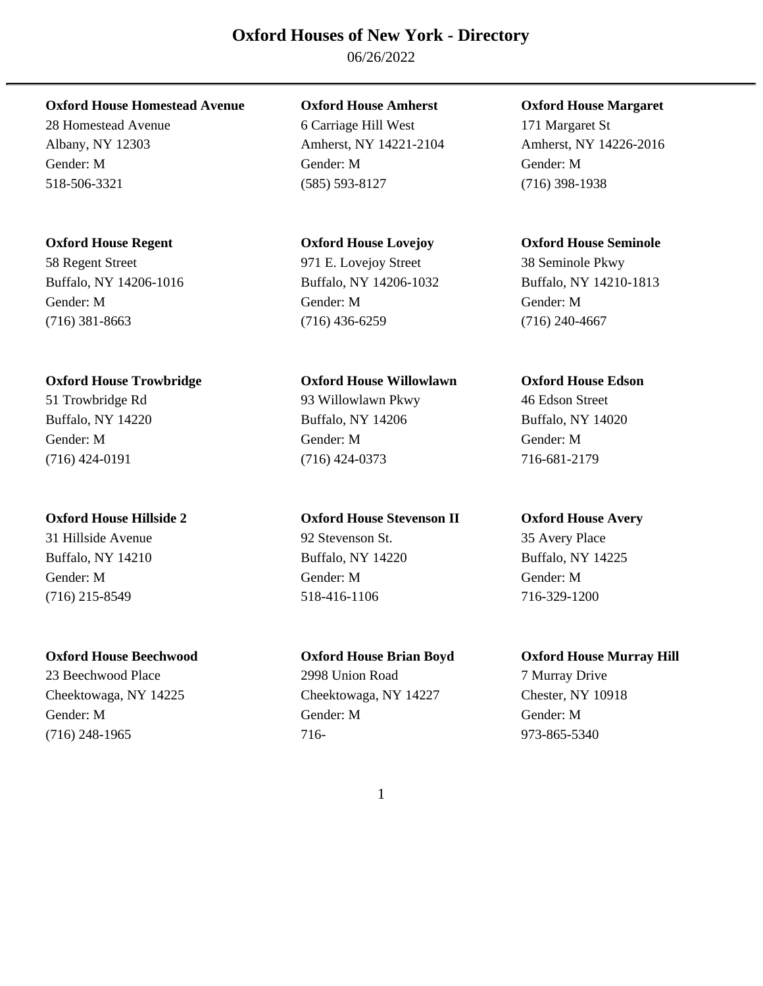# **Oxford Houses of New York - Directory**

06/26/2022

### **Oxford House Homestead Avenue Oxford House Amherst Oxford House Margaret**

58 Regent Street 971 E. Lovejoy Street 38 Seminole Pkwy Buffalo, NY 14206-1016 Buffalo, NY 14206-1032 Buffalo, NY 14210-1813 Gender: M Gender: M Gender: M (716) 381-8663 (716) 436-6259 (716) 240-4667

### **Oxford House Trowbridge Oxford House Willowlawn Oxford House Edson**

23 Beechwood Place 2998 Union Road 7 Murray Drive Cheektowaga, NY 14225 Cheektowaga, NY 14227 Chester, NY 10918 Gender: M Gender: M Gender: M

28 Homestead Avenue 6 Carriage Hill West 171 Margaret St Albany, NY 12303 Amherst, NY 14221-2104 Amherst, NY 14226-2016 Gender: M Gender: M Gender: M 518-506-3321 (585) 593-8127 (716) 398-1938

51 Trowbridge Rd 93 Willowlawn Pkwy 46 Edson Street Buffalo, NY 14220 Buffalo, NY 14206 Buffalo, NY 14020 Gender: M Gender: M Gender: M (716) 424-0191 (716) 424-0373 716-681-2179

### **Oxford House Hillside 2 Oxford House Stevenson II Oxford House Avery**

31 Hillside Avenue 92 Stevenson St. 35 Avery Place Buffalo, NY 14210 **Buffalo, NY 14220** Buffalo, NY 14225 Gender: M Gender: M Gender: M (716) 215-8549 518-416-1106 716-329-1200

### **Oxford House Beechwood Oxford House Brian Boyd Oxford House Murray Hill**

(716) 248-1965 716- 973-865-5340

### **Oxford House Regent Oxford House Lovejoy Oxford House Seminole**

1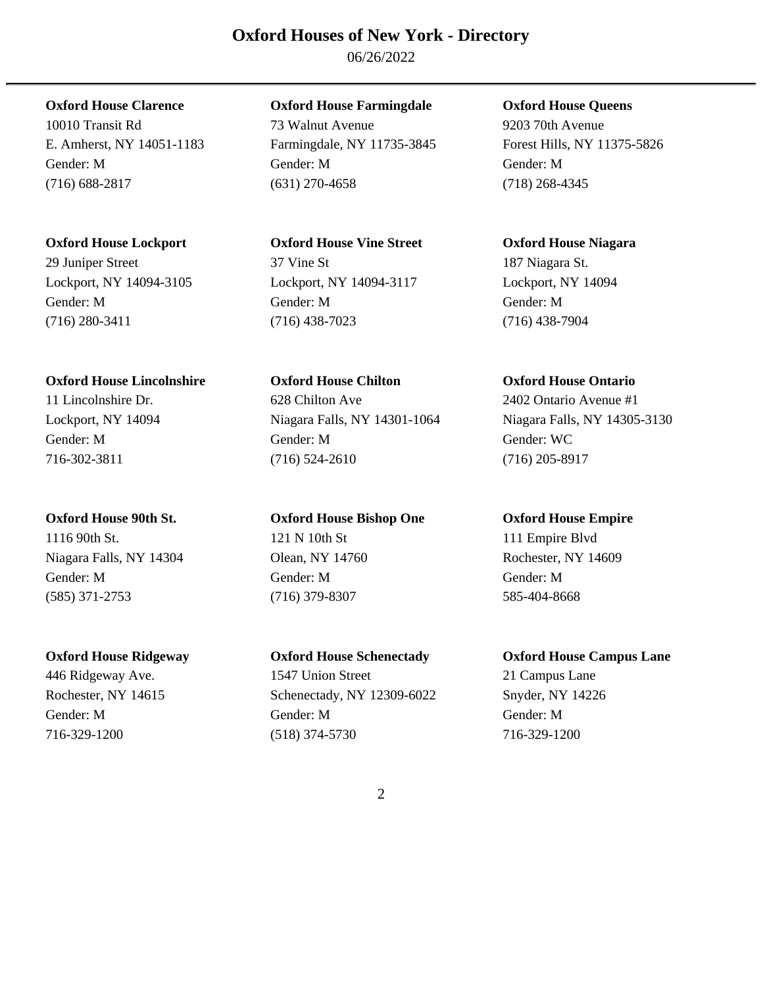## **Oxford Houses of New York - Directory**

06/26/2022

### **Oxford House Lockport Oxford House Vine Street Oxford House Niagara**

(716) 280-3411 (716) 438-7023 (716) 438-7904

### **Oxford House Clarence Oxford House Farmingdale Oxford House Queens**

10010 Transit Rd 73 Walnut Avenue 9203 70th Avenue E. Amherst, NY 14051-1183 Farmingdale, NY 11735-3845 Forest Hills, NY 11375-5826 Gender: M Gender: M Gender: M (716) 688-2817 (631) 270-4658 (718) 268-4345

# 29 Juniper Street 37 Vine St 187 Niagara St. Lockport, NY 14094-3105 Lockport, NY 14094-3117 Lockport, NY 14094 Gender: M Gender: M Gender: M

**Oxford House Lincolnshire Oxford House Chilton Oxford House Ontario**  11 Lincolnshire Dr. 628 Chilton Ave 2402 Ontario Avenue #1 Gender: M Gender: M Gender: WC 716-302-3811 (716) 524-2610 (716) 205-8917

# **Oxford House 90th St. Oxford House Bishop One Oxford House Empire**  1116 90th St. 121 N 10th St 111 Empire Blvd Niagara Falls, NY 14304 **Olean, NY 14760** Rochester, NY 14609 Gender: M Gender: M Gender: M (585) 371-2753 (716) 379-8307 585-404-8668

# **Oxford House Ridgeway Oxford House Schenectady Oxford House Campus Lane**  446 Ridgeway Ave. 1547 Union Street 21 Campus Lane Rochester, NY 14615 Schenectady, NY 12309-6022 Snyder, NY 14226 Gender: M Gender: M Gender: M 716-329-1200 (518) 374-5730 716-329-1200

Lockport, NY 14094 Niagara Falls, NY 14301-1064 Niagara Falls, NY 14305-3130

2